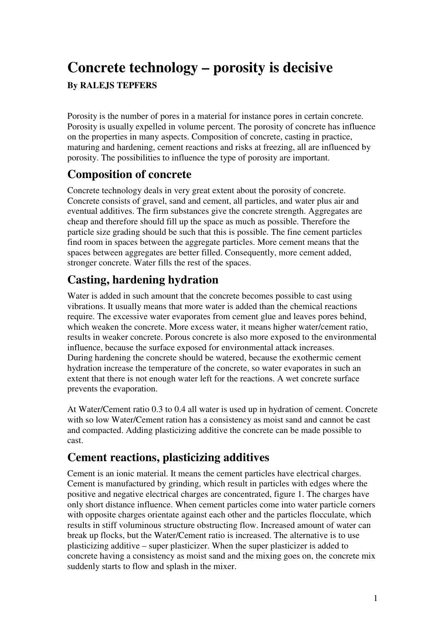# **Concrete technology – porosity is decisive**

#### **By RALEJS TEPFERS**

Porosity is the number of pores in a material for instance pores in certain concrete. Porosity is usually expelled in volume percent. The porosity of concrete has influence on the properties in many aspects. Composition of concrete, casting in practice, maturing and hardening, cement reactions and risks at freezing, all are influenced by porosity. The possibilities to influence the type of porosity are important.

## **Composition of concrete**

Concrete technology deals in very great extent about the porosity of concrete. Concrete consists of gravel, sand and cement, all particles, and water plus air and eventual additives. The firm substances give the concrete strength. Aggregates are cheap and therefore should fill up the space as much as possible. Therefore the particle size grading should be such that this is possible. The fine cement particles find room in spaces between the aggregate particles. More cement means that the spaces between aggregates are better filled. Consequently, more cement added, stronger concrete. Water fills the rest of the spaces.

## **Casting, hardening hydration**

Water is added in such amount that the concrete becomes possible to cast using vibrations. It usually means that more water is added than the chemical reactions require. The excessive water evaporates from cement glue and leaves pores behind, which weaken the concrete. More excess water, it means higher water/cement ratio, results in weaker concrete. Porous concrete is also more exposed to the environmental influence, because the surface exposed for environmental attack increases. During hardening the concrete should be watered, because the exothermic cement hydration increase the temperature of the concrete, so water evaporates in such an extent that there is not enough water left for the reactions. A wet concrete surface prevents the evaporation.

At Water/Cement ratio 0.3 to 0.4 all water is used up in hydration of cement. Concrete with so low Water/Cement ration has a consistency as moist sand and cannot be cast and compacted. Adding plasticizing additive the concrete can be made possible to cast.

## **Cement reactions, plasticizing additives**

Cement is an ionic material. It means the cement particles have electrical charges. Cement is manufactured by grinding, which result in particles with edges where the positive and negative electrical charges are concentrated, figure 1. The charges have only short distance influence. When cement particles come into water particle corners with opposite charges orientate against each other and the particles flocculate, which results in stiff voluminous structure obstructing flow. Increased amount of water can break up flocks, but the Water/Cement ratio is increased. The alternative is to use plasticizing additive – super plasticizer. When the super plasticizer is added to concrete having a consistency as moist sand and the mixing goes on, the concrete mix suddenly starts to flow and splash in the mixer.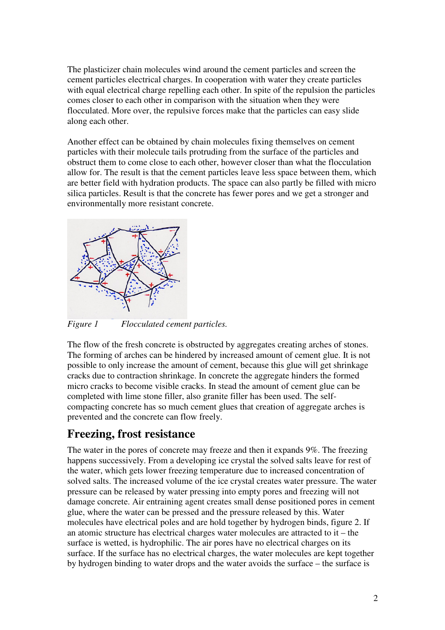The plasticizer chain molecules wind around the cement particles and screen the cement particles electrical charges. In cooperation with water they create particles with equal electrical charge repelling each other. In spite of the repulsion the particles comes closer to each other in comparison with the situation when they were flocculated. More over, the repulsive forces make that the particles can easy slide along each other.

Another effect can be obtained by chain molecules fixing themselves on cement particles with their molecule tails protruding from the surface of the particles and obstruct them to come close to each other, however closer than what the flocculation allow for. The result is that the cement particles leave less space between them, which are better field with hydration products. The space can also partly be filled with micro silica particles. Result is that the concrete has fewer pores and we get a stronger and environmentally more resistant concrete.



*Figure 1 Flocculated cement particles.* 

The flow of the fresh concrete is obstructed by aggregates creating arches of stones. The forming of arches can be hindered by increased amount of cement glue. It is not possible to only increase the amount of cement, because this glue will get shrinkage cracks due to contraction shrinkage. In concrete the aggregate hinders the formed micro cracks to become visible cracks. In stead the amount of cement glue can be completed with lime stone filler, also granite filler has been used. The selfcompacting concrete has so much cement glues that creation of aggregate arches is prevented and the concrete can flow freely.

### **Freezing, frost resistance**

The water in the pores of concrete may freeze and then it expands 9%. The freezing happens successively. From a developing ice crystal the solved salts leave for rest of the water, which gets lower freezing temperature due to increased concentration of solved salts. The increased volume of the ice crystal creates water pressure. The water pressure can be released by water pressing into empty pores and freezing will not damage concrete. Air entraining agent creates small dense positioned pores in cement glue, where the water can be pressed and the pressure released by this. Water molecules have electrical poles and are hold together by hydrogen binds, figure 2. If an atomic structure has electrical charges water molecules are attracted to it – the surface is wetted, is hydrophilic. The air pores have no electrical charges on its surface. If the surface has no electrical charges, the water molecules are kept together by hydrogen binding to water drops and the water avoids the surface – the surface is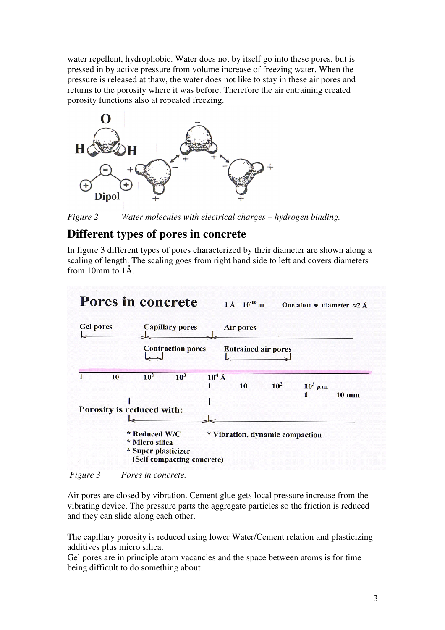water repellent, hydrophobic. Water does not by itself go into these pores, but is pressed in by active pressure from volume increase of freezing water. When the pressure is released at thaw, the water does not like to stay in these air pores and returns to the porosity where it was before. Therefore the air entraining created porosity functions also at repeated freezing.



*Figure 2 Water molecules with electrical charges – hydrogen binding.* 

### **Different types of pores in concrete**

In figure 3 different types of pores characterized by their diameter are shown along a scaling of length. The scaling goes from right hand side to left and covers diameters from 10mm to 1Å.



 *Figure 3 Pores in concrete.* 

Air pores are closed by vibration. Cement glue gets local pressure increase from the vibrating device. The pressure parts the aggregate particles so the friction is reduced and they can slide along each other.

The capillary porosity is reduced using lower Water/Cement relation and plasticizing additives plus micro silica.

Gel pores are in principle atom vacancies and the space between atoms is for time being difficult to do something about.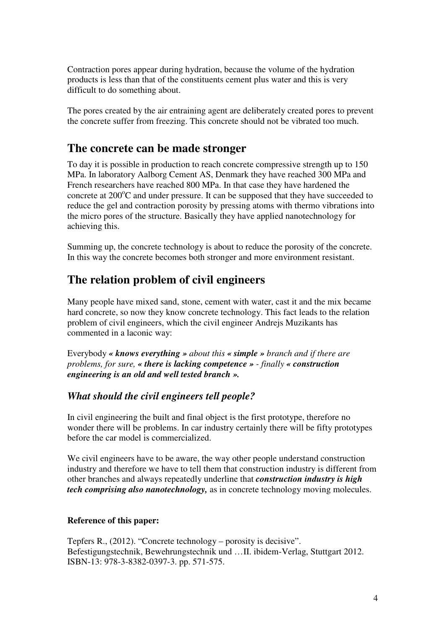Contraction pores appear during hydration, because the volume of the hydration products is less than that of the constituents cement plus water and this is very difficult to do something about.

The pores created by the air entraining agent are deliberately created pores to prevent the concrete suffer from freezing. This concrete should not be vibrated too much.

#### **The concrete can be made stronger**

To day it is possible in production to reach concrete compressive strength up to 150 MPa. In laboratory Aalborg Cement AS, Denmark they have reached 300 MPa and French researchers have reached 800 MPa. In that case they have hardened the concrete at  $200^{\circ}$ C and under pressure. It can be supposed that they have succeeded to reduce the gel and contraction porosity by pressing atoms with thermo vibrations into the micro pores of the structure. Basically they have applied nanotechnology for achieving this.

Summing up, the concrete technology is about to reduce the porosity of the concrete. In this way the concrete becomes both stronger and more environment resistant.

#### **The relation problem of civil engineers**

Many people have mixed sand, stone, cement with water, cast it and the mix became hard concrete, so now they know concrete technology. This fact leads to the relation problem of civil engineers, which the civil engineer Andrejs Muzikants has commented in a laconic way:

Everybody *« knows everything » about this « simple » branch and if there are problems, for sure, « there is lacking competence » - finally « construction engineering is an old and well tested branch ».* 

#### *What should the civil engineers tell people?*

In civil engineering the built and final object is the first prototype, therefore no wonder there will be problems. In car industry certainly there will be fifty prototypes before the car model is commercialized.

We civil engineers have to be aware, the way other people understand construction industry and therefore we have to tell them that construction industry is different from other branches and always repeatedly underline that *construction industry is high tech comprising also nanotechnology,* as in concrete technology moving molecules.

#### **Reference of this paper:**

Tepfers R., (2012). "Concrete technology – porosity is decisive". Befestigungstechnik, Bewehrungstechnik und …II. ibidem-Verlag, Stuttgart 2012. ISBN-13: 978-3-8382-0397-3. pp. 571-575.